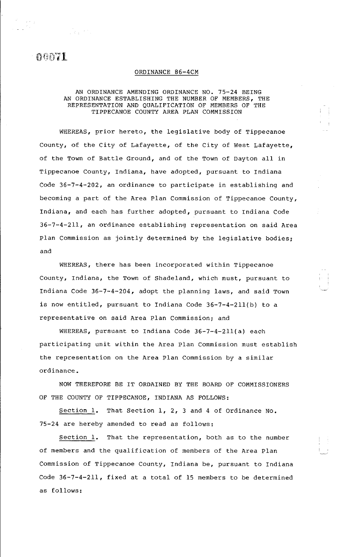$\overline{00071}$ 

## ORDINANCE 86-4CM

## AN ORDINANCE AMENDING ORDINANCE NO. 75-24 BEING AN ORDINANCE ESTABLISHING THE NUMBER OF MEMBERS, THE REPRESENTATION AND QUALIFICATION OF MEMBERS OF THE TIPPECANOE COUNTY AREA PLAN COMMISSION

WHEREAS, prior hereto, the legislative body of Tippecanoe County, of the City of Lafayette, of the City of west Lafayette, of the Town of Battle Ground, and of the Town of Dayton all in Tippecanoe County, Indiana, have adopted, pursuant to Indiana Code 36-7-4-202, an ordinance to participate in establishing and becoming a part of the Area Plan Commission of Tippecanoe County, Indiana, and each has further adopted, pursuant to Indiana Code 36-7-4-211, an ordinance establishing representation on said Area Plan Commission as jointly determined by the legislative bodies; and

WHEREAS, there has been incorporated within Tippecanoe County, Indiana, the Town of Shadeland, which must, pursuant to Indiana Code 36-7-4-204, adopt the planning laws, and said Town is now entitled, pursuant to Indiana Code 36-7-4-2ll(b) to a representative on said Area Plan Commission; and

WHEREAS, pursuant to Indiana Code 36-7-4-2ll(a) each participating unit within the Area Plan Commission must establish the representation on the Area Plan Commission by a similar ordinance.

NOW THEREFORE BE IT ORDAINED BY THE BOARD OF COMMISSIONERS OF THE COUNTY OF TIPPECANOE, INDIANA AS FOLLOWS:

Section 1. That Section 1, 2, 3 and 4 of Ordinance No. 75-24 are hereby amended to read as follows:

Section 1. That the representation, both as to the number of members and the qualification of members of the Area Plan Commission of Tippecanoe County, Indiana be, pursuant to Indiana Code 36-7-4-211, fixed at a total of 15 members to be determined as follows: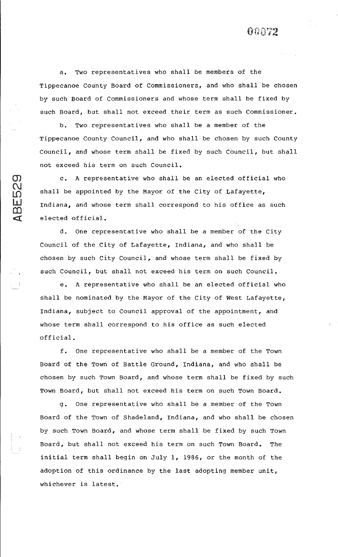a. Two representatives who shall be members of the Tippecanoe County Board of Commissioners, and who shall be chosen by such Board of Commissioners and whose term shall be fixed by such Board, but shall not exceed their term as such Commissioner.

b. Two representatives who shall be a member of the Tippecanoe County Council, and who shall be chosen by such County Council, and whose term shall be fixed by such Council, but shall not exceed his term on such Council.

c. A representative who shall be an elected official who shall be appointed by the Mayor of the City of Lafayette, Indiana, and whose term shall correspond to his office as such elected official.

 $\mathfrak{D}_1$  $\Omega$  $\mathfrak{p}$  $\tilde{\mathbf{u}}$  $\Omega$  $\blacksquare$ 

> d. One representative who shall be a member of the City Council of the City of Lafayette, Indiana, and who shall be chosen by such City Council, and whose term shall be fixed by such Council, but shall not exceed his term on such Council.

e. A representative who shall be an elected official who shall be nominated by the Mayor of the City of west Lafayette, Indiana, subject to Council approval of the appointment, and whose term shall correspond to his office as such elected official.

f. One representative who shall be a member of the Town Board of the Town of Battle Ground, Indiana, and who shall be chosen by such Town Board, and whose term shall be fixed by such Town Board, but shall not exceed his term on such Town Board.

g. One representative who shall be a member of the Town Board of the Town of Shadeland, Indiana, and who shall be chosen by such Town Board, and whose term shall be fixed by such Town Board, but shall not exceed his term on such Town Board. The initial term shall begin on July 1, 1986, or the month of the adoption of this ordinance by the last adopting member unit, whichever is latest.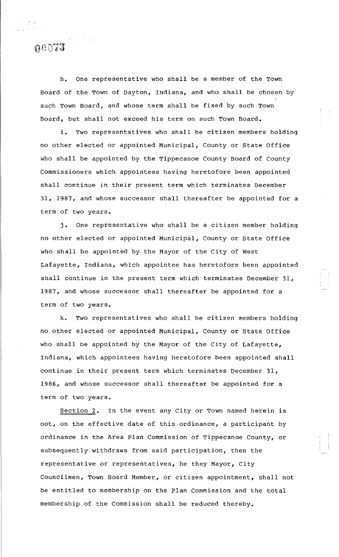h. One representative who shall be a member of the Town Board of the Town of Dayton, Indiana, and who shall be chosen by I such Town Board, and whose term shall be fixed by such Town Board, but shall not exceed his term on such Town Board.

 $\bf n$ eora

i. Two representatives who shall be citizen members holding no other elected or appointed Municipal, County or State Office who shall be appointed by the Tippecanoe County Board of County Commissioners which appointees having heretofore been appointed shall continue in their present term which terminates December 31, 1987, and whose successor shall thereafter be appointed for a term of two years.

j. One representative who shall be a citizen member holding no other elected or appointed Municipal, County or State Office who shall be appointed by the Mayor of the City of west Lafayette, Indiana, which appointee has heretofore been appointed shall continue in the present term which terminates December 31, 1987, and whose successor shall thereafter be appointed for a term of two years.

k. Two representatives who shall be citizen members holding no other elected or appointed Municipal, County or State Office who shall be appointed by the Mayor of the City of Lafayette, Indiana, which appointees having heretofore been appointed shall continue in their present term which terminates December 31, 1986, and whose successor shall thereafter be appointed for a term of two years.

Section 2. In the event any City or Town named herein is not, on the effective date of this ordinance, a participant by ordinance in the Area Plan Commission of Tippecanoe County, or subsequently withdraws from said participation, then the representative or representatives, be they Mayor, City Councilmen, Town Board Member, or citizen appointment, shall not be entitled to membership on the Plan Commission and the total membership of the Commission shall be reduced thereby.